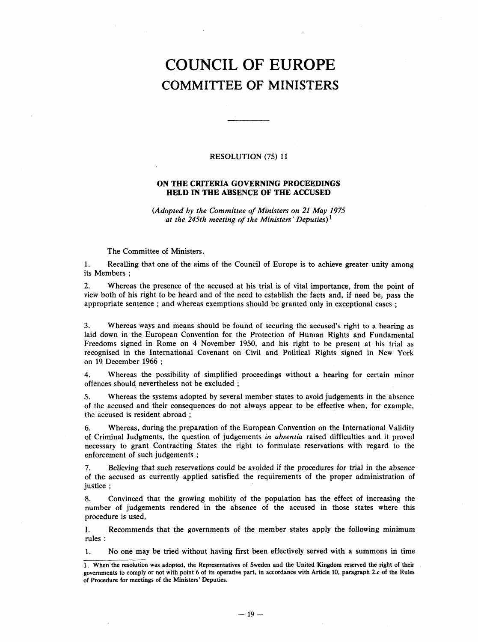## COUNCIL OF EUROPE COMMITTEE OF MINISTERS

## RESOLUTION (75) 11

## ON THE CRITERIA GOVERNING PROCEEDINGS HELD IN THE ABSENCE OF THE ACCUSED

(Adopted by the Committee of Ministers on 21 May 1975 at the 245th meeting of the Ministers' Deputies)<sup>1</sup>

The Committee of Ministers,

1. Recalling that one of the aims of the Council of Europe is to achieve greater unity among its Members:

2. Whereas the presence of the accused at his trial is of vital importance, from the point of view both of his right to be heard and of the need to establish the facts and, if need be, pass the appropriate sentence; and whereas exemptions should be granted only in exceptional cases;

3. Whereas ways and means should be found of securing the accused's right to a hearing as laid down in the European Convention for the Protection of Human Rights and Fundamental Freedoms signed in Rome on 4 November 1950, and his right to be present at his trial as recognised in the International Covenant on Civil and Political Rights signed in New York on 19 December 1966;

4. Whereas the possibility of simplified proceedings without a hearing for certain minor offences should nevertheless not be excluded;

5. Whereas the systems adopted by several member states to avoid judgements in the absence of the accused and their consequences do not always appear to be effective when, for example, the accused is resident abroad;

6. Whereas, during the preparation of the European Convention on the International Validity of Criminal Judgments, the question of judgements in absentia raised difficulties and it proved necessary to grant Contracting States the right to formulate reservations with regard to the enforcement of such judgements;

7. Believing that such reservations could be avoided if the procedures for trial in the absence of the accused as currently applied satisfied the requirements of the proper administration of justice;

8. Convinced that the growing mobility of the population has the effect of increasing the number of judgements rendered in the absence of the accused in those states where this procedure is used,

I. Recommends that the governments of the member states apply the following minimum rules:

1. No one may be tried without having first been effectively served with a summons in time

<sup>1.</sup> When the resolution was adopted, the Representatives of Sweden and the United Kingdom reserved the right of their governments to comply or not with point 6 of its operative part, in accordance with Article 10, paragraph 2.c of the Rules of Procedure for meetings of the Ministers' Deputies.